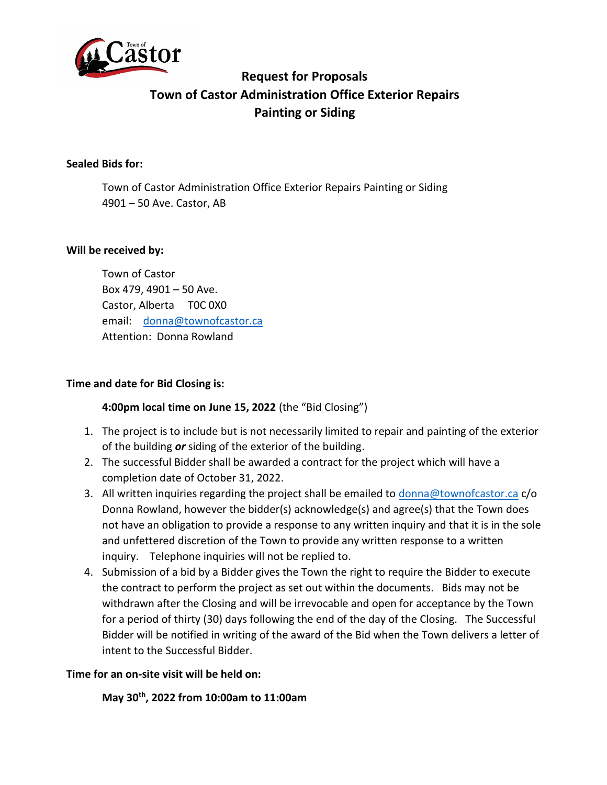

# **Request for Proposals Town of Castor Administration Office Exterior Repairs Painting or Siding**

## **Sealed Bids for:**

Town of Castor Administration Office Exterior Repairs Painting or Siding 4901 – 50 Ave. Castor, AB

## **Will be received by:**

Town of Castor Box 479, 4901 – 50 Ave. Castor, Alberta T0C 0X0 email: [donna@townofcastor.ca](mailto:donna@townofcastor.ca) Attention: Donna Rowland

## **Time and date for Bid Closing is:**

# **4:00pm local time on June 15, 2022** (the "Bid Closing")

- 1. The project is to include but is not necessarily limited to repair and painting of the exterior of the building *or* siding of the exterior of the building.
- 2. The successful Bidder shall be awarded a contract for the project which will have a completion date of October 31, 2022.
- 3. All written inquiries regarding the project shall be emailed to [donna@townofcastor.ca](mailto:donna@townofcastor.ca) c/o Donna Rowland, however the bidder(s) acknowledge(s) and agree(s) that the Town does not have an obligation to provide a response to any written inquiry and that it is in the sole and unfettered discretion of the Town to provide any written response to a written inquiry. Telephone inquiries will not be replied to.
- 4. Submission of a bid by a Bidder gives the Town the right to require the Bidder to execute the contract to perform the project as set out within the documents. Bids may not be withdrawn after the Closing and will be irrevocable and open for acceptance by the Town for a period of thirty (30) days following the end of the day of the Closing. The Successful Bidder will be notified in writing of the award of the Bid when the Town delivers a letter of intent to the Successful Bidder.

#### **Time for an on-site visit will be held on:**

**May 30th, 2022 from 10:00am to 11:00am**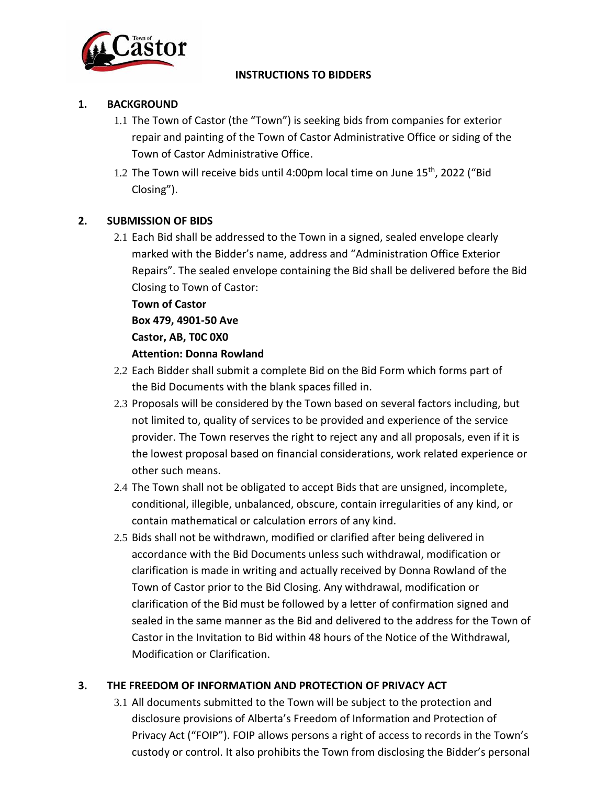

#### **INSTRUCTIONS TO BIDDERS**

## **1. BACKGROUND**

- 1.1 The Town of Castor (the "Town") is seeking bids from companies for exterior repair and painting of the Town of Castor Administrative Office or siding of the Town of Castor Administrative Office.
- 1.2 The Town will receive bids until 4:00pm local time on June 15<sup>th</sup>, 2022 ("Bid Closing").

# **2. SUBMISSION OF BIDS**

2.1 Each Bid shall be addressed to the Town in a signed, sealed envelope clearly marked with the Bidder's name, address and "Administration Office Exterior Repairs". The sealed envelope containing the Bid shall be delivered before the Bid Closing to Town of Castor:

**Town of Castor**

**Box 479, 4901-50 Ave**

**Castor, AB, T0C 0X0** 

## **Attention: Donna Rowland**

- 2.2 Each Bidder shall submit a complete Bid on the Bid Form which forms part of the Bid Documents with the blank spaces filled in.
- 2.3 Proposals will be considered by the Town based on several factors including, but not limited to, quality of services to be provided and experience of the service provider. The Town reserves the right to reject any and all proposals, even if it is the lowest proposal based on financial considerations, work related experience or other such means.
- 2.4 The Town shall not be obligated to accept Bids that are unsigned, incomplete, conditional, illegible, unbalanced, obscure, contain irregularities of any kind, or contain mathematical or calculation errors of any kind.
- 2.5 Bids shall not be withdrawn, modified or clarified after being delivered in accordance with the Bid Documents unless such withdrawal, modification or clarification is made in writing and actually received by Donna Rowland of the Town of Castor prior to the Bid Closing. Any withdrawal, modification or clarification of the Bid must be followed by a letter of confirmation signed and sealed in the same manner as the Bid and delivered to the address for the Town of Castor in the Invitation to Bid within 48 hours of the Notice of the Withdrawal, Modification or Clarification.

# **3. THE FREEDOM OF INFORMATION AND PROTECTION OF PRIVACY ACT**

3.1 All documents submitted to the Town will be subject to the protection and disclosure provisions of Alberta's Freedom of Information and Protection of Privacy Act ("FOIP"). FOIP allows persons a right of access to records in the Town's custody or control. It also prohibits the Town from disclosing the Bidder's personal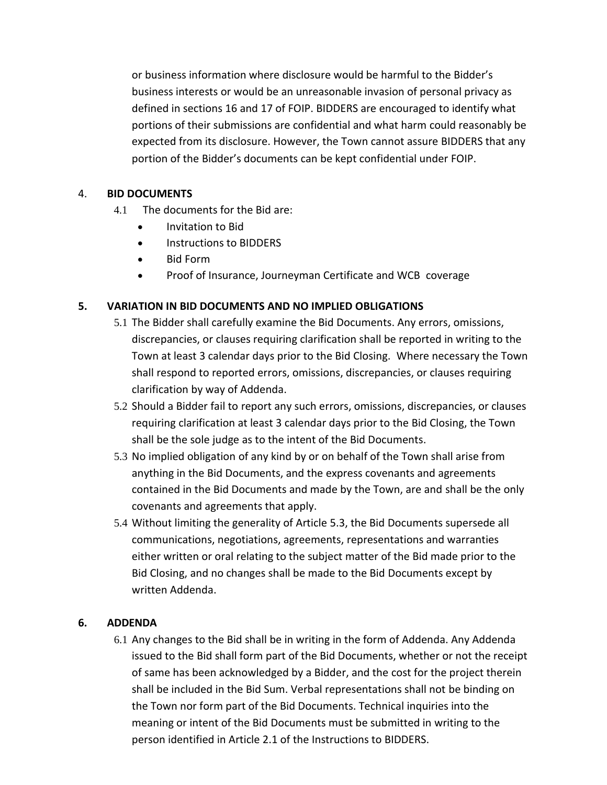or business information where disclosure would be harmful to the Bidder's business interests or would be an unreasonable invasion of personal privacy as defined in sections 16 and 17 of FOIP. BIDDERS are encouraged to identify what portions of their submissions are confidential and what harm could reasonably be expected from its disclosure. However, the Town cannot assure BIDDERS that any portion of the Bidder's documents can be kept confidential under FOIP.

## 4. **BID DOCUMENTS**

- 4.1 The documents for the Bid are:
	- Invitation to Bid
	- Instructions to BIDDERS
	- Bid Form
	- Proof of Insurance, Journeyman Certificate and WCB coverage

# **5. VARIATION IN BID DOCUMENTS AND NO IMPLIED OBLIGATIONS**

- 5.1 The Bidder shall carefully examine the Bid Documents. Any errors, omissions, discrepancies, or clauses requiring clarification shall be reported in writing to the Town at least 3 calendar days prior to the Bid Closing. Where necessary the Town shall respond to reported errors, omissions, discrepancies, or clauses requiring clarification by way of Addenda.
- 5.2 Should a Bidder fail to report any such errors, omissions, discrepancies, or clauses requiring clarification at least 3 calendar days prior to the Bid Closing, the Town shall be the sole judge as to the intent of the Bid Documents.
- 5.3 No implied obligation of any kind by or on behalf of the Town shall arise from anything in the Bid Documents, and the express covenants and agreements contained in the Bid Documents and made by the Town, are and shall be the only covenants and agreements that apply.
- 5.4 Without limiting the generality of Article 5.3, the Bid Documents supersede all communications, negotiations, agreements, representations and warranties either written or oral relating to the subject matter of the Bid made prior to the Bid Closing, and no changes shall be made to the Bid Documents except by written Addenda.

# **6. ADDENDA**

6.1 Any changes to the Bid shall be in writing in the form of Addenda. Any Addenda issued to the Bid shall form part of the Bid Documents, whether or not the receipt of same has been acknowledged by a Bidder, and the cost for the project therein shall be included in the Bid Sum. Verbal representations shall not be binding on the Town nor form part of the Bid Documents. Technical inquiries into the meaning or intent of the Bid Documents must be submitted in writing to the person identified in Article 2.1 of the Instructions to BIDDERS.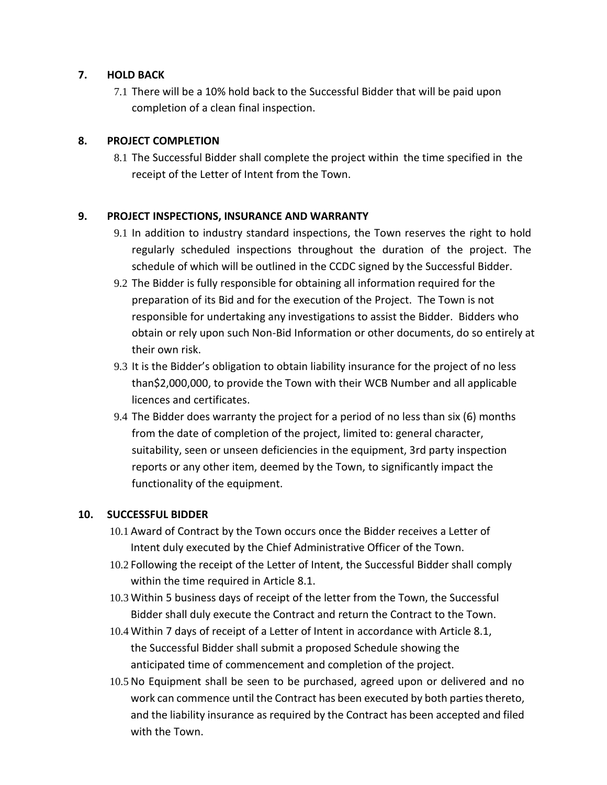## **7. HOLD BACK**

7.1 There will be a 10% hold back to the Successful Bidder that will be paid upon completion of a clean final inspection.

## **8. PROJECT COMPLETION**

8.1 The Successful Bidder shall complete the project within the time specified in the receipt of the Letter of Intent from the Town.

## **9. PROJECT INSPECTIONS, INSURANCE AND WARRANTY**

- 9.1 In addition to industry standard inspections, the Town reserves the right to hold regularly scheduled inspections throughout the duration of the project. The schedule of which will be outlined in the CCDC signed by the Successful Bidder.
- 9.2 The Bidder is fully responsible for obtaining all information required for the preparation of its Bid and for the execution of the Project. The Town is not responsible for undertaking any investigations to assist the Bidder. Bidders who obtain or rely upon such Non-Bid Information or other documents, do so entirely at their own risk.
- 9.3 It is the Bidder's obligation to obtain liability insurance for the project of no less than\$2,000,000, to provide the Town with their WCB Number and all applicable licences and certificates.
- 9.4 The Bidder does warranty the project for a period of no less than six (6) months from the date of completion of the project, limited to: general character, suitability, seen or unseen deficiencies in the equipment, 3rd party inspection reports or any other item, deemed by the Town, to significantly impact the functionality of the equipment.

#### **10. SUCCESSFUL BIDDER**

- 10.1 Award of Contract by the Town occurs once the Bidder receives a Letter of Intent duly executed by the Chief Administrative Officer of the Town.
- 10.2 Following the receipt of the Letter of Intent, the Successful Bidder shall comply within the time required in Article 8.1.
- 10.3 Within 5 business days of receipt of the letter from the Town, the Successful Bidder shall duly execute the Contract and return the Contract to the Town.
- 10.4 Within 7 days of receipt of a Letter of Intent in accordance with Article 8.1, the Successful Bidder shall submit a proposed Schedule showing the anticipated time of commencement and completion of the project.
- 10.5No Equipment shall be seen to be purchased, agreed upon or delivered and no work can commence until the Contract has been executed by both parties thereto, and the liability insurance as required by the Contract has been accepted and filed with the Town.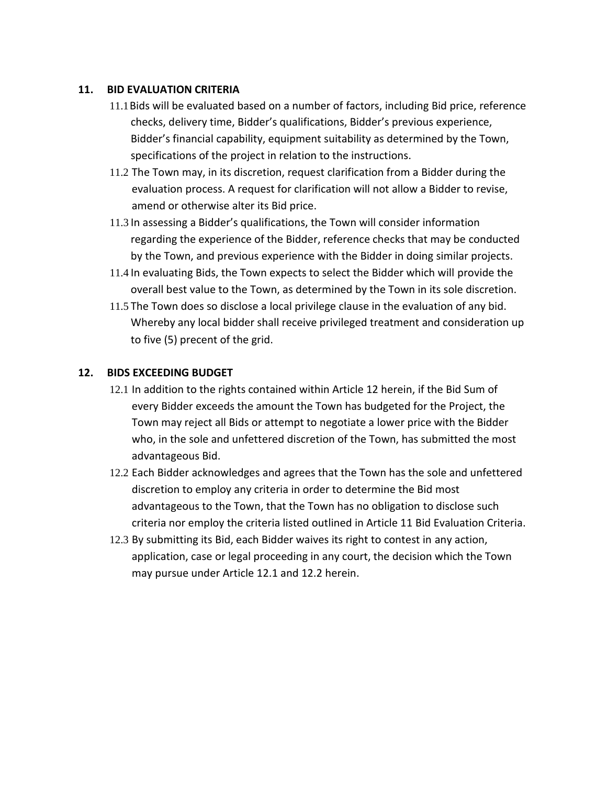#### **11. BID EVALUATION CRITERIA**

- 11.1Bids will be evaluated based on a number of factors, including Bid price, reference checks, delivery time, Bidder's qualifications, Bidder's previous experience, Bidder's financial capability, equipment suitability as determined by the Town, specifications of the project in relation to the instructions.
- 11.2 The Town may, in its discretion, request clarification from a Bidder during the evaluation process. A request for clarification will not allow a Bidder to revise, amend or otherwise alter its Bid price.
- 11.3 In assessing a Bidder's qualifications, the Town will consider information regarding the experience of the Bidder, reference checks that may be conducted by the Town, and previous experience with the Bidder in doing similar projects.
- 11.4 In evaluating Bids, the Town expects to select the Bidder which will provide the overall best value to the Town, as determined by the Town in its sole discretion.
- 11.5 The Town does so disclose a local privilege clause in the evaluation of any bid. Whereby any local bidder shall receive privileged treatment and consideration up to five (5) precent of the grid.

## **12. BIDS EXCEEDING BUDGET**

- 12.1 In addition to the rights contained within Article 12 herein, if the Bid Sum of every Bidder exceeds the amount the Town has budgeted for the Project, the Town may reject all Bids or attempt to negotiate a lower price with the Bidder who, in the sole and unfettered discretion of the Town, has submitted the most advantageous Bid.
- 12.2 Each Bidder acknowledges and agrees that the Town has the sole and unfettered discretion to employ any criteria in order to determine the Bid most advantageous to the Town, that the Town has no obligation to disclose such criteria nor employ the criteria listed outlined in Article 11 Bid Evaluation Criteria.
- 12.3 By submitting its Bid, each Bidder waives its right to contest in any action, application, case or legal proceeding in any court, the decision which the Town may pursue under Article 12.1 and 12.2 herein.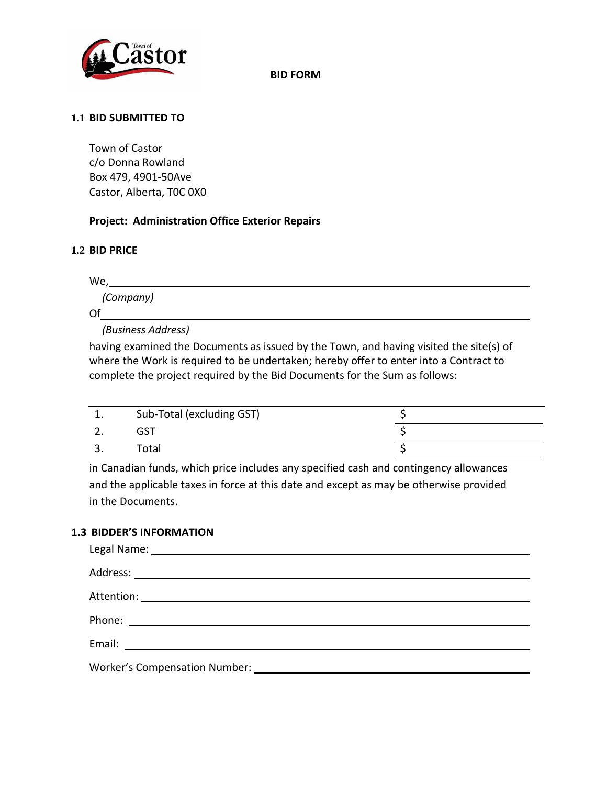

**BID FORM**

#### **1.1 BID SUBMITTED TO**

Town of Castor c/o Donna Rowland Box 479, 4901-50Ave Castor, Alberta, T0C 0X0

## **Project: Administration Office Exterior Repairs**

## **1.2 BID PRICE**

 $We, \_\_$ 

*(Company)*

Of

*(Business Address)*

having examined the Documents as issued by the Town, and having visited the site(s) of where the Work is required to be undertaken; hereby offer to enter into a Contract to complete the project required by the Bid Documents for the Sum as follows:

| ᆠ. | Sub-Total (excluding GST) |  |
|----|---------------------------|--|
|    |                           |  |
|    | Total                     |  |

in Canadian funds, which price includes any specified cash and contingency allowances and the applicable taxes in force at this date and except as may be otherwise provided in the Documents.

#### **1.3 BIDDER'S INFORMATION**

| Worker's Compensation Number: |  |  |
|-------------------------------|--|--|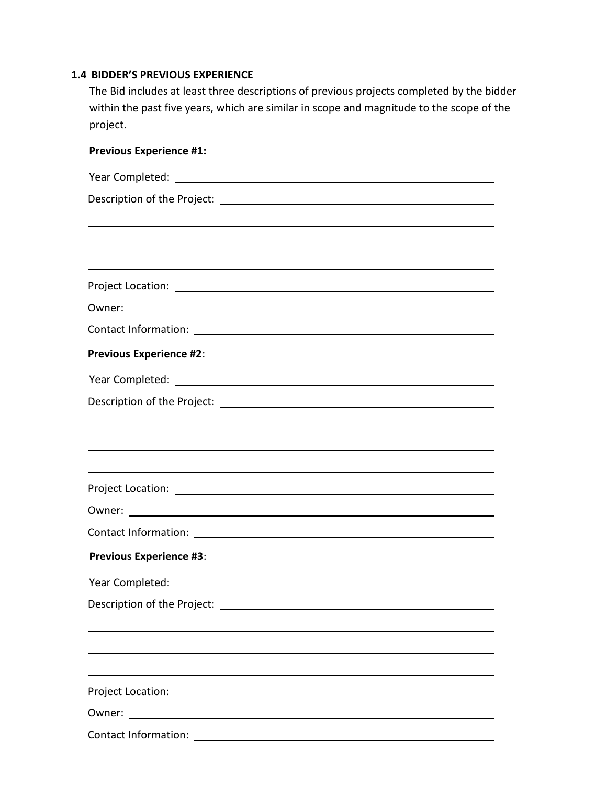#### **1.4 BIDDER'S PREVIOUS EXPERIENCE**

The Bid includes at least three descriptions of previous projects completed by the bidder within the past five years, which are similar in scope and magnitude to the scope of the project.

| <b>Previous Experience #1:</b>                                                       |
|--------------------------------------------------------------------------------------|
|                                                                                      |
|                                                                                      |
|                                                                                      |
|                                                                                      |
|                                                                                      |
|                                                                                      |
|                                                                                      |
|                                                                                      |
| <b>Previous Experience #2:</b>                                                       |
|                                                                                      |
|                                                                                      |
|                                                                                      |
|                                                                                      |
|                                                                                      |
|                                                                                      |
|                                                                                      |
|                                                                                      |
| <b>Previous Experience #3:</b>                                                       |
| Year Completed:                                                                      |
|                                                                                      |
|                                                                                      |
|                                                                                      |
|                                                                                      |
|                                                                                      |
| <u> 1989 - Johann Harry Barn, mars ar breist fan de Fryske kommunent (</u><br>Owner: |
|                                                                                      |